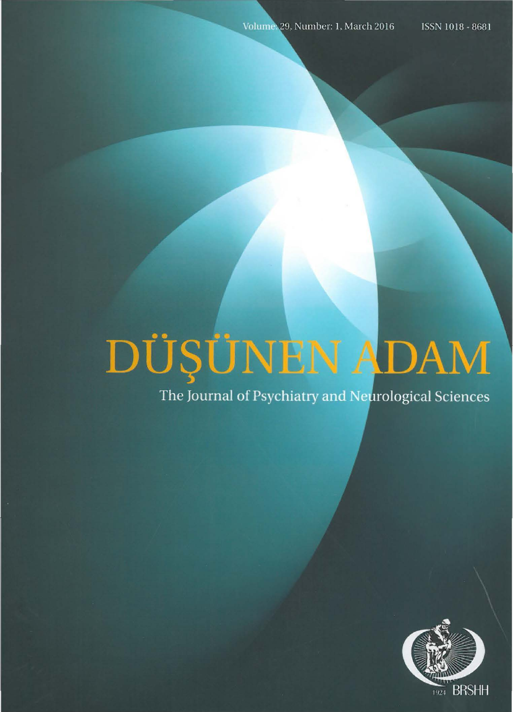# DÜŞÜNEN ADAM

The Journal of Psychiatry and Neurological Sciences

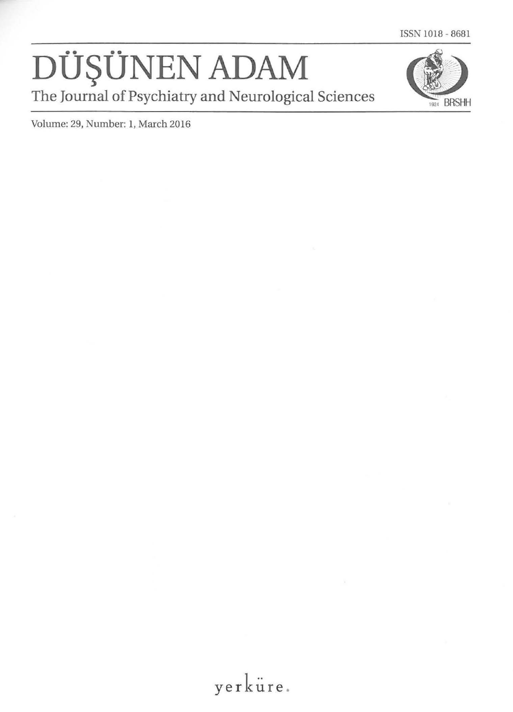### DÜŞÜNEN ADAM The Journal of Psychiatry and Neurological Sciences



Volume: 29, Number: 1, March 2016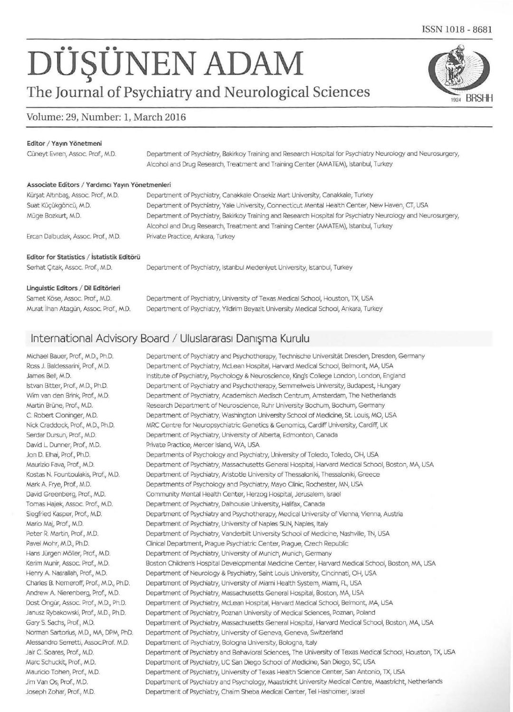## $DÜSÜNEN ADAM$

#### **The Journal of Psychiatry and Neurological Sciences**

#### Volume: 29, Number: 1, March 2016

#### Editor / Yayın Yönetmeni

Ciineyt Evren, Assoc. Prof., M.D. Department of Psychiatry, Bakirkoy Training and Research Hospital for Psychiatry Neurology and Neurosurgery, Alcohol and Drug Research, Treatment and Training Center (AMATEM), Istanbul, Turkey

#### Associate Editors / Yardımcı Yayın Yönetmenleri

Murat ilhan Atagun, Assoc. Prof., M.D.

| Kürsat Altınbas, Assoc. Prof., M.D.        | Department of Psychiatry, Canakkale Onsekiz Mart University, Canakkale, Turkey                               |
|--------------------------------------------|--------------------------------------------------------------------------------------------------------------|
| Suat Küçükgöncü, M.D.                      | Department of Psychiatry, Yale University, Connecticut Mental Health Center, New Haven, CT, USA              |
| Müge Bozkurt, M.D.                         | Department of Psychiatry, Bakirkoy Training and Research Hospital for Psychiatry Neurology and Neurosurgery, |
|                                            | Alcohol and Drug Research, Treatment and Training Center (AMATEM), Istanbul, Turkey                          |
| Ercan Dalbudak, Assoc. Prof., M.D.         | Private Practice, Ankara, Turkey                                                                             |
| Editor for Statistics / Istatistik Editörü |                                                                                                              |
| Serhat Citak, Assoc. Prof., M.D.           | Department of Psychiatry, Istanbul Medeniyet University, Istanbul, Turkey                                    |
| Linguistic Editors / Dil Editörleri        |                                                                                                              |
| Samet Köse, Assoc. Prof., M.D.             | Department of Psychiatry, University of Texas Medical School, Houston, TX, USA                               |

Department of Psychiatry, Yildirim Beyazit University Medical School, Ankara, Turkey

#### International Advisory Board / Uluslararası Danisma Kurulu

Michael Bauer, Prof., M.D., Ph.D. Ross J. Baldessarini, Prof., M.D. James Bell, M.D. Istvan Bitter, Prof., M.D., Ph.D. Wim van den Brink, Prof., M.D. Martin Brüne, Prof., M.D. C. Robert Cloninger, M.D. Nick Craddock, Prof., M.D., Ph.D. Serdar Dursun, Prof., M.D. David L Dunner, Prof., M.D. Jon D. Elhai, Prof., Ph.D. Maurizio Fava, Prof., M.D. Kostas N. Fountoulakis, Prof, M.D. Mark A. Frye, Prof., M.D. David Greenberg, Prof., M.D. Tomas Hajek, Assoc. Prof., M.D. Siegfried Kasper, Prof., M.D. Mario Maj, Prof., M.D. Peter R. Martin, Prof., M.D. Pavel Mohr, M.D., Ph.D. Hans Jürgen Möller, Prof., M.D. Kerim Munir, Assoc. Prof., M.D. Henry A. Nasrallah, Prof., M.D. Charles B. Nemeroff, Prof., M.D., Ph.D. Andrew A. Nierenberg, Prof., M.D. Dost Ongur, Assoc. Prof., M.D., Ph.D. Janusz Rybakowski, Prof., M.D., Ph.D. Gary S. Sachs, Prof., M.D. Norman Sartorius, M.D., MA, DPM, PhD. Alessandro Serretti, Assoc.Prof. M.D. Jair C. Soares, Prof., M.D. Marc Schuckit, Prof., M.D. Mauricio Tohen, Prof., M.D. Jim Van Os, Prof., M.D. Joseph Zohar, Prof., M.D.

Department of Psychiatry and Psychotherapy, Technische Universität Dresden, Dresden, Germany Department of Psychiatry, Mclean Hospital, Harvard Medical School, Belmont, MA, USA Institute of Psychiatry, Psychology & Neuroscience, King's College London, London, England Department of Psychiatry and Psychotherapy, Semmelweis University, Budapest, Hungary Department of Psychiatry, Academisch Medisch Centrum, Amsterdam, The Netherlands Research Department of Neuroscience, Ruhr University Bochum, Bochum, Germany Department of Psychiatry, Washington University School of Medicine, St Louis, MO, USA MRC Centre for Neuropsychiatric Genetics & Genomics, Cardiff University, Cardiff, UK Department of Psychiatry, University of Alberta, Edmonton, Canada Private Practice, Mercer Island, WA, USA Departments of Psychology and Psychiatry, University of Toledo, Toledo, OH, USA Department of Psychiatry, Massachusetts General Hospital, Harvard Medical School, Boston, MA, USA Department of Psychiatry, Aristotle University of Thessaloniki, Thessaloniki, Greece Departments of Psychology and Psychiatry, Mayo Clinic, Rochester, MN, USA Community Mental Health Center, Herzog Hospital, Jerusalem, Israel Department of Psychiatry, Dalhousie University, Halifax, Canada Department of Psychiatry and Psychotherapy, Medical University of Vienna, Vienna, Austria Department of Psychiatry, University of Naples SUN, Naples, Italy Department of Psychiatry, Vanderbilt University School of Medicine, Nashville, TN, USA Clinical Department, Prague Psychiatric Center, Prague, Czech Republic Department of Psychiatry, University of Munich, Munich, Germany Boston Children's Hospital Developmental Medicine Center, Harvard Medical School, Boston, MA, USA Department of Neurology & Psychiatry, Saint Louis University, Cincinnati, OH, USA Department of Psychiatry, University of Miami Health System, Miami, FL, USA Department of Psychiatry, Massachusetts General Hospital, Boston, MA, USA Department of Psychiatry, Mclean Hospital, Harvard Medical School, Belmont, MA, USA Department of Psychiatry, Poznan University of Medical Sciences, Poznan, Poland Department of Psychiatry, Massachusetts General Hospital, Harvard Medical School, Boston, MA, USA Department of Psychiatry, University of Geneva, Geneva, Switzerland Department of Psychiatry, Bologna University, Bologna, Italy Department of Psychiatry and Behavioral Sciences, The University of Texas Medical School, Houston, TX, USA Department of Psychiatry, UC San Diego School of Medidne, San Diego, SC, USA Department of Psychiatry, University of Texas Health Science Center, San Antonio, TX, USA Department of Psychiatry and Psychology, Maastricht University Medical Centre, Maastricht, Netherlands Department of Psychiatry, Chaim Sheba Medical Center, Tel Hashomer, Israel

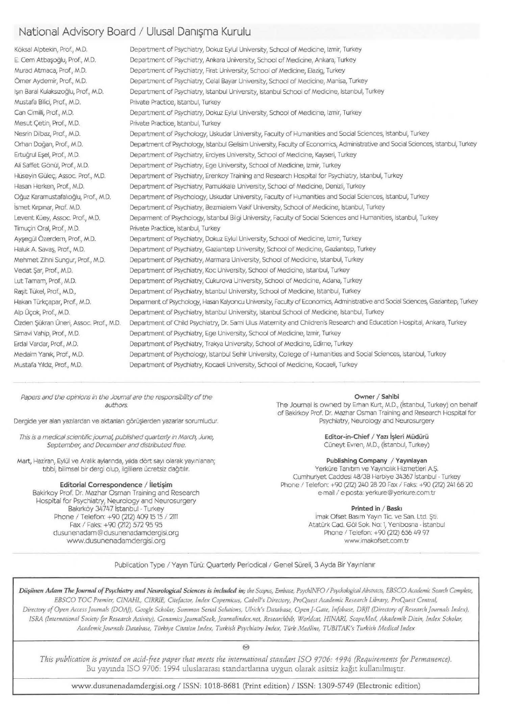#### National Advisory Board / Ulusal Danisma Kurulu

Köksal Alptekin, Prof., M.D. E. Cem Atbasoălu, Prof., M.D. Murad Atmaca, Prof., M.D. Orner Aydemir, Prof., M.D. lsın Baral Kulaksızoğlu, Prof., M.D. Mustafa Bilici, Prof., M.D. Can Cimilli, Prof., M.D. Mesut Çetin, Prof., M.D. Nesrin Dilbaz, Prof., M.D. Oman Dogan, Prof., M.D. Ertuğrul Esel, Prof., M.D. Ali Saffet Gönül, Prof., M.D. Hüseyin Gülec, Assoc. Prof., M.D. Hasan Herken, Prof., M.D. oguz Karamustafahoglu, Prof., M.D. İsmet Kırpınar, Prof. M.D. Levent Küey, Assoc. Prof., M.D. Timuc;in Oral, Prof., M.D. Ayşegül Özerdem, Prof., M.D. Haluk A. Savaş, Prof., M.D. Mehmet Zihni Sungur, Prof., M.D. Vedat \$ar, Prof., M.D. Lut Tamam, Prof., M.D. Raşit Tükel, Prof., M.D., Hakan Türkçapar, Prof., M.D. Alp Üçok, Prof., M.D. Özden Şükran Üneri, Assoc. Prof., M.D. Simavi Vahip, Prof, M.D. Erda! Vardar, Prof., M.D. Medaim Yanık, Prof., M.D. Mustafa Yıldız, Prof., M.D. Department of Psychiatry, Dokuz Eylul University, School of Medicine, lzmir, Turkey Department of Psychiatry, Ankara University, School of Mediane, Ankara, Turkey Department of Psychiatry, Firat University, School of Medicine, Elazig, Turkey Department of Psychiatry, Celal Bayar University, School of Medicine, Manisa, Turkey Department of Psychiatry, Istanbul University, Istanbul School of Medicine, Istanbul, Turkey Private Practice, Istanbul, Turkey Department of Psychiatry, Dokuz Eylul University, School of Medicine, lzmir, Turkey Private Practice, Istanbul, Turkey Department of Psychology, Uskudar University, Faculty of Humanities and Social Sciences, Istanbul, Turkey Department of Psychology, Istanbul Gelisim University, Faculty of Economics, Administrative and Social Sciences, Istanbul, Turkey Department of Psychiatry, Erciyes University, School of Medicine, Kayseri, Turkey Department of Psychiatry, Ege University, School of Medicine, lzmir, Turkey Department of Psychiatry, Erenkoy Training and Research Hospital for Psychiatry, Istanbul, Turkey Department of Psychiatry, Pamukkale University, School of Medicine, Denizli, Turkey Department of Psychology, Uskudar University, Faculty of Humanities and Social Sciences, Istanbul, Turkey Department of Psychiatry, Bezmialem Vakrf University, School of Medicine, Istanbul, Turkey Deparment of Psychology, Istanbul Bilgi University, Faculty of Social Sciences and Humanities, Istanbul, Turkey Private Practice, Istanbul, Turkey Department of Psychiatry, Dokuz Eylul University, School of Medicine, lzmir, Turkey Department of Psychiatry, Gaziantep University, School of Medicine, Gaziantep, Turkey Department of Psychiatry, Marmara University, School of Medicine, Istanbul, Turkey Department of Psychiatry, Koc University, School of Medicine, Istanbul, Turkey Department of Psychiatry, Cukurova University, School of Medicine, Adana, Turkey Department of Psychiatry, Istanbul University, School of Medione, Istanbul, Turkey Deparment of Psychology, Hasan Kalyoncu University, Faoulty of Economics, Administrative and Sodal Sciences, Gaziantep, Turkey Department of Psychiatry, Istanbul University, Istanbul School of Medicine, Istanbul, Turkey Department of Child Psychiatry, Dr. Sami Ulus Maternity and Children's Research and Education Hospital, Ankara, Turkey Department of Psychiatry, Ege University, School of Medicine, lzmir, Turkey Department of Psychiatry, Trakya University, School of Medicine, Edirne, Turkey Department of Psychology, Istanbul Sehir University, College of Humanities and Social Sciences, Istanbul, Turkey Department of Psychiatry, Kocaeli University, School of Medicine, Kocaeli, Turkey

Papers and the opinions in the Journal are the responsibility of the authors.

Dergide yer alan yazılardan ve aktanlan görüşlerden yazarlar sorumludur.

This is a medical scientific journal, published quarterly in March, June, September, and December and distributed free.

Mart, Haziran, Eylül ve Aralık aylarında, yılda dört sayı olarak yayınlanan; tıbbi, bilimsel bir dergi olup, ilgililere ücretsiz dağıtılır.

#### Editorial Correspondence / İletişim

Bakirkoy Prof. Dr. Mazhar Osman Training and Research Hospital for Psychiatry, Neurology and Neurosurgery Bakırköy 34747 İstanbul - Turkey Phone / Telefon: +90 (212) 409 15 15 / 2111 Fax / Faks: +90 (212) 572 95 95 dusunenadam@ dusunenadamdergisi.org www.dusunenadamdergisi.org

Owner / Sahibi

The Journal is owned by Erhan Kurt, M.D., (istanbul, Turkey) on behalf of Bakirkoy Prof. Dr. Mazhar Osman Training and Research Hospital for

> Editor-in-Chief / Yazı İşleri Müdürü Cüneyt Evren, M.D., (İstanbul, Turkey)

Publishing Company / Yayınlayan

Yerküre Tanıtım ve Yayıncılık Hizmetleri A.S. Cumhuriyet Caddesi 48/39 Harbiye 34367 istanbul· Turkey Phone / Telefon: +90 (212) 240 28 20 Fax / Faks: +90 (212) 241 68 20 e-mail / e-posta: yerkure@yerkure.com.tr

Printed in / Baskı

İmak Ofset Basım Yayın Tic. ve San. Ltd. Şti. Atatürk Cad. Göl Sok. No: 1, Yenibosna - İstanbul Phone *1* Telefon: +90 (212) 656 49 97 www.imakofsetcom.tr

Publication Type / Yayın Türü: Quarterly Periodical / Genel Süreli, 3 Ayda Bir Yayınlanır

Diişiinen Adam The Journal of Psychiatry and Neurological Sciences is included in; the Scopus, Embase, Psych|NFO / Psychological Abstracts, EBSCO Academic Search Complete, *EBSCO TOC Premier, CINAHL, ClRRIE, Citefaaor, Index Copernicus, Cabell's Directory, ProQuest Academic Research Library, ProQuest Central, Directory of Open Access journals (DO A}), Google Scholar, Summon Serial Solutions, Ulrich's Database, Open }-Gate, lnfobase, DR}! (Directory of Resoardr journals Index),*  ISRA (International Society for Research Activity), Genamics JournalSeek, Journalindex.net, Researchbib, Worldcat, HINARI, ScopeMed, Akademik Dizin, Index Scholar, *Academic journals Database, Trlrkiye Citation Index, Turkish Psychiatry Index, Tiirk Mer/line, TUBITAK's Turkish Medica/ Index* 

@

*This publication is printed on acid-free paper that meets the international standart ISO 9706: 1994 (Requirements for Permanence).*  Bu yayında ISO 9706: 1994 uluslararası standartlarına uygun olarak asitsiz kağıt kullanılmıştır.

www.dusunenadamdergisi.org I ISSN: 1018-8681 (Print edition) I ISSN: 1309-5749 (Electronic edition)